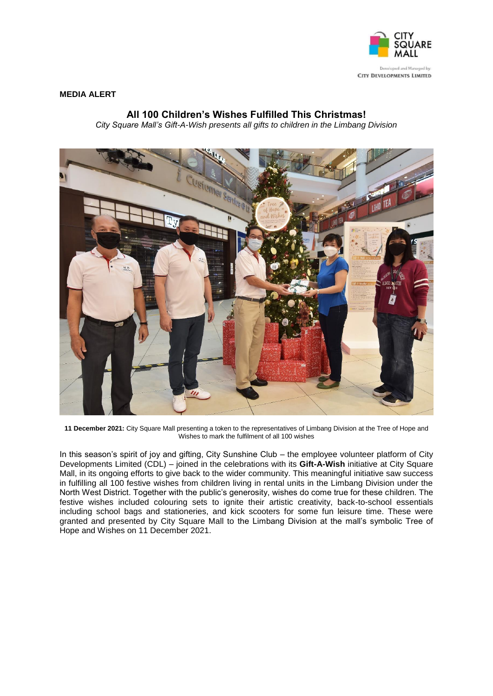

## **MEDIA ALERT**

## **All 100 Children's Wishes Fulfilled This Christmas!**

*City Square Mall's Gift-A-Wish presents all gifts to children in the Limbang Division*



**11 December 2021:** City Square Mall presenting a token to the representatives of Limbang Division at the Tree of Hope and Wishes to mark the fulfilment of all 100 wishes

In this season's spirit of joy and gifting, City Sunshine Club – the employee volunteer platform of City Developments Limited (CDL) – joined in the celebrations with its **Gift-A-Wish** initiative at City Square Mall, in its ongoing efforts to give back to the wider community. This meaningful initiative saw success in fulfilling all 100 festive wishes from children living in rental units in the Limbang Division under the North West District. Together with the public's generosity, wishes do come true for these children. The festive wishes included colouring sets to ignite their artistic creativity, back-to-school essentials including school bags and stationeries, and kick scooters for some fun leisure time. These were granted and presented by City Square Mall to the Limbang Division at the mall's symbolic Tree of Hope and Wishes on 11 December 2021.